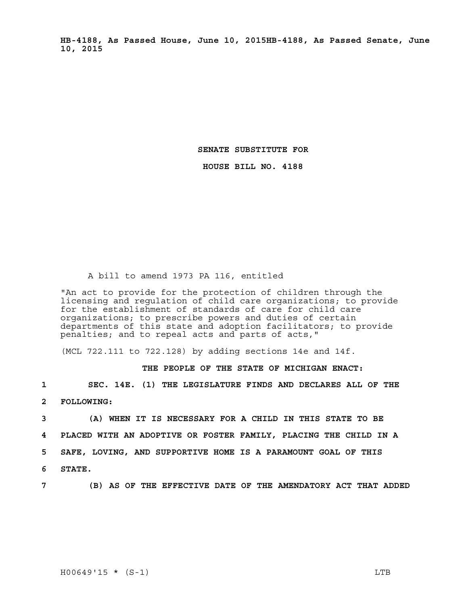**HB-4188, As Passed House, June 10, 2015HB-4188, As Passed Senate, June 10, 2015** 

**SENATE SUBSTITUTE FOR** 

**HOUSE BILL NO. 4188** 

## A bill to amend 1973 PA 116, entitled

"An act to provide for the protection of children through the licensing and regulation of child care organizations; to provide for the establishment of standards of care for child care organizations; to prescribe powers and duties of certain departments of this state and adoption facilitators; to provide penalties; and to repeal acts and parts of acts,"

(MCL 722.111 to 722.128) by adding sections 14e and 14f.

## **THE PEOPLE OF THE STATE OF MICHIGAN ENACT:**

**1 SEC. 14E. (1) THE LEGISLATURE FINDS AND DECLARES ALL OF THE** 

**2 FOLLOWING:**

**3 (A) WHEN IT IS NECESSARY FOR A CHILD IN THIS STATE TO BE 4 PLACED WITH AN ADOPTIVE OR FOSTER FAMILY, PLACING THE CHILD IN A 5 SAFE, LOVING, AND SUPPORTIVE HOME IS A PARAMOUNT GOAL OF THIS 6 STATE.**

**7 (B) AS OF THE EFFECTIVE DATE OF THE AMENDATORY ACT THAT ADDED**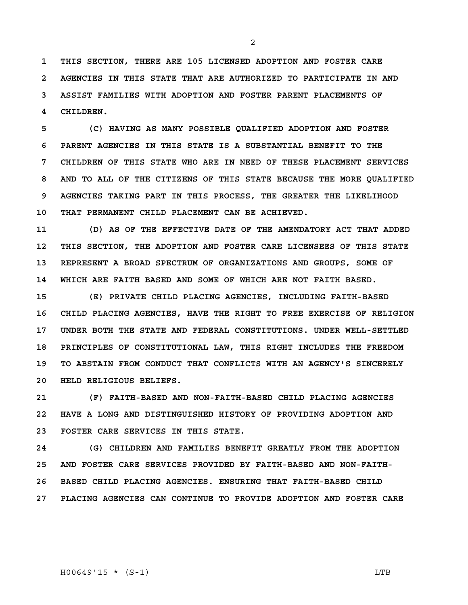**1 THIS SECTION, THERE ARE 105 LICENSED ADOPTION AND FOSTER CARE 2 AGENCIES IN THIS STATE THAT ARE AUTHORIZED TO PARTICIPATE IN AND 3 ASSIST FAMILIES WITH ADOPTION AND FOSTER PARENT PLACEMENTS OF 4 CHILDREN.**

**5 (C) HAVING AS MANY POSSIBLE QUALIFIED ADOPTION AND FOSTER 6 PARENT AGENCIES IN THIS STATE IS A SUBSTANTIAL BENEFIT TO THE 7 CHILDREN OF THIS STATE WHO ARE IN NEED OF THESE PLACEMENT SERVICES 8 AND TO ALL OF THE CITIZENS OF THIS STATE BECAUSE THE MORE QUALIFIED 9 AGENCIES TAKING PART IN THIS PROCESS, THE GREATER THE LIKELIHOOD 10 THAT PERMANENT CHILD PLACEMENT CAN BE ACHIEVED.**

**11 (D) AS OF THE EFFECTIVE DATE OF THE AMENDATORY ACT THAT ADDED 12 THIS SECTION, THE ADOPTION AND FOSTER CARE LICENSEES OF THIS STATE 13 REPRESENT A BROAD SPECTRUM OF ORGANIZATIONS AND GROUPS, SOME OF 14 WHICH ARE FAITH BASED AND SOME OF WHICH ARE NOT FAITH BASED.**

**15 (E) PRIVATE CHILD PLACING AGENCIES, INCLUDING FAITH-BASED 16 CHILD PLACING AGENCIES, HAVE THE RIGHT TO FREE EXERCISE OF RELIGION 17 UNDER BOTH THE STATE AND FEDERAL CONSTITUTIONS. UNDER WELL-SETTLED 18 PRINCIPLES OF CONSTITUTIONAL LAW, THIS RIGHT INCLUDES THE FREEDOM 19 TO ABSTAIN FROM CONDUCT THAT CONFLICTS WITH AN AGENCY'S SINCERELY 20 HELD RELIGIOUS BELIEFS.**

**21 (F) FAITH-BASED AND NON-FAITH-BASED CHILD PLACING AGENCIES 22 HAVE A LONG AND DISTINGUISHED HISTORY OF PROVIDING ADOPTION AND 23 FOSTER CARE SERVICES IN THIS STATE.**

**24 (G) CHILDREN AND FAMILIES BENEFIT GREATLY FROM THE ADOPTION 25 AND FOSTER CARE SERVICES PROVIDED BY FAITH-BASED AND NON-FAITH-26 BASED CHILD PLACING AGENCIES. ENSURING THAT FAITH-BASED CHILD 27 PLACING AGENCIES CAN CONTINUE TO PROVIDE ADOPTION AND FOSTER CARE** 

H00649'15 \* (S-1) LTB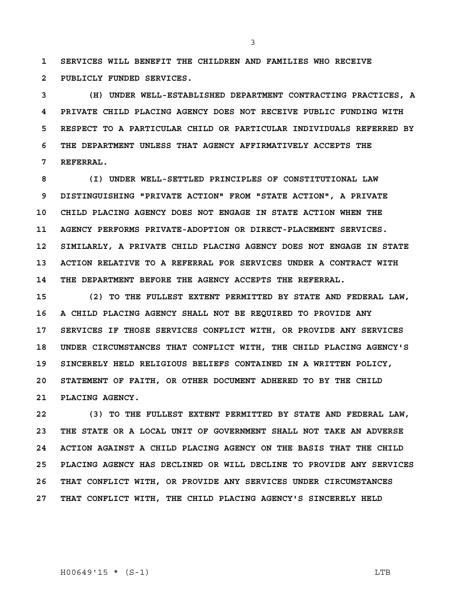**1 SERVICES WILL BENEFIT THE CHILDREN AND FAMILIES WHO RECEIVE 2 PUBLICLY FUNDED SERVICES.**

**3 (H) UNDER WELL-ESTABLISHED DEPARTMENT CONTRACTING PRACTICES, A 4 PRIVATE CHILD PLACING AGENCY DOES NOT RECEIVE PUBLIC FUNDING WITH 5 RESPECT TO A PARTICULAR CHILD OR PARTICULAR INDIVIDUALS REFERRED BY 6 THE DEPARTMENT UNLESS THAT AGENCY AFFIRMATIVELY ACCEPTS THE 7 REFERRAL.**

**8 (I) UNDER WELL-SETTLED PRINCIPLES OF CONSTITUTIONAL LAW 9 DISTINGUISHING "PRIVATE ACTION" FROM "STATE ACTION", A PRIVATE 10 CHILD PLACING AGENCY DOES NOT ENGAGE IN STATE ACTION WHEN THE 11 AGENCY PERFORMS PRIVATE-ADOPTION OR DIRECT-PLACEMENT SERVICES. 12 SIMILARLY, A PRIVATE CHILD PLACING AGENCY DOES NOT ENGAGE IN STATE 13 ACTION RELATIVE TO A REFERRAL FOR SERVICES UNDER A CONTRACT WITH 14 THE DEPARTMENT BEFORE THE AGENCY ACCEPTS THE REFERRAL.** 

**15 (2) TO THE FULLEST EXTENT PERMITTED BY STATE AND FEDERAL LAW, 16 A CHILD PLACING AGENCY SHALL NOT BE REQUIRED TO PROVIDE ANY 17 SERVICES IF THOSE SERVICES CONFLICT WITH, OR PROVIDE ANY SERVICES 18 UNDER CIRCUMSTANCES THAT CONFLICT WITH, THE CHILD PLACING AGENCY'S 19 SINCERELY HELD RELIGIOUS BELIEFS CONTAINED IN A WRITTEN POLICY, 20 STATEMENT OF FAITH, OR OTHER DOCUMENT ADHERED TO BY THE CHILD 21 PLACING AGENCY.**

**22 (3) TO THE FULLEST EXTENT PERMITTED BY STATE AND FEDERAL LAW, 23 THE STATE OR A LOCAL UNIT OF GOVERNMENT SHALL NOT TAKE AN ADVERSE 24 ACTION AGAINST A CHILD PLACING AGENCY ON THE BASIS THAT THE CHILD 25 PLACING AGENCY HAS DECLINED OR WILL DECLINE TO PROVIDE ANY SERVICES 26 THAT CONFLICT WITH, OR PROVIDE ANY SERVICES UNDER CIRCUMSTANCES 27 THAT CONFLICT WITH, THE CHILD PLACING AGENCY'S SINCERELY HELD** 

H00649'15 \* (S-1) LTB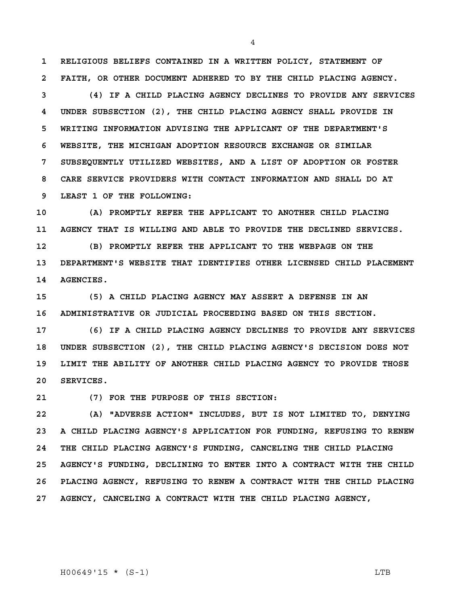**1 RELIGIOUS BELIEFS CONTAINED IN A WRITTEN POLICY, STATEMENT OF 2 FAITH, OR OTHER DOCUMENT ADHERED TO BY THE CHILD PLACING AGENCY.**

**3 (4) IF A CHILD PLACING AGENCY DECLINES TO PROVIDE ANY SERVICES 4 UNDER SUBSECTION (2), THE CHILD PLACING AGENCY SHALL PROVIDE IN 5 WRITING INFORMATION ADVISING THE APPLICANT OF THE DEPARTMENT'S 6 WEBSITE, THE MICHIGAN ADOPTION RESOURCE EXCHANGE OR SIMILAR 7 SUBSEQUENTLY UTILIZED WEBSITES, AND A LIST OF ADOPTION OR FOSTER 8 CARE SERVICE PROVIDERS WITH CONTACT INFORMATION AND SHALL DO AT 9 LEAST 1 OF THE FOLLOWING:**

**10 (A) PROMPTLY REFER THE APPLICANT TO ANOTHER CHILD PLACING 11 AGENCY THAT IS WILLING AND ABLE TO PROVIDE THE DECLINED SERVICES. 12 (B) PROMPTLY REFER THE APPLICANT TO THE WEBPAGE ON THE 13 DEPARTMENT'S WEBSITE THAT IDENTIFIES OTHER LICENSED CHILD PLACEMENT 14 AGENCIES.**

**15 (5) A CHILD PLACING AGENCY MAY ASSERT A DEFENSE IN AN 16 ADMINISTRATIVE OR JUDICIAL PROCEEDING BASED ON THIS SECTION.** 

**17 (6) IF A CHILD PLACING AGENCY DECLINES TO PROVIDE ANY SERVICES 18 UNDER SUBSECTION (2), THE CHILD PLACING AGENCY'S DECISION DOES NOT 19 LIMIT THE ABILITY OF ANOTHER CHILD PLACING AGENCY TO PROVIDE THOSE 20 SERVICES.**

**21 (7) FOR THE PURPOSE OF THIS SECTION:**

**22 (A) "ADVERSE ACTION" INCLUDES, BUT IS NOT LIMITED TO, DENYING 23 A CHILD PLACING AGENCY'S APPLICATION FOR FUNDING, REFUSING TO RENEW 24 THE CHILD PLACING AGENCY'S FUNDING, CANCELING THE CHILD PLACING 25 AGENCY'S FUNDING, DECLINING TO ENTER INTO A CONTRACT WITH THE CHILD 26 PLACING AGENCY, REFUSING TO RENEW A CONTRACT WITH THE CHILD PLACING 27 AGENCY, CANCELING A CONTRACT WITH THE CHILD PLACING AGENCY,** 

H00649'15 \* (S-1) LTB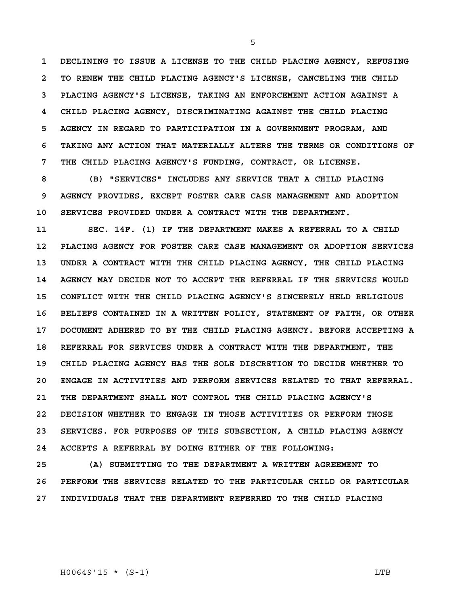**1 DECLINING TO ISSUE A LICENSE TO THE CHILD PLACING AGENCY, REFUSING 2 TO RENEW THE CHILD PLACING AGENCY'S LICENSE, CANCELING THE CHILD 3 PLACING AGENCY'S LICENSE, TAKING AN ENFORCEMENT ACTION AGAINST A 4 CHILD PLACING AGENCY, DISCRIMINATING AGAINST THE CHILD PLACING 5 AGENCY IN REGARD TO PARTICIPATION IN A GOVERNMENT PROGRAM, AND 6 TAKING ANY ACTION THAT MATERIALLY ALTERS THE TERMS OR CONDITIONS OF 7 THE CHILD PLACING AGENCY'S FUNDING, CONTRACT, OR LICENSE.** 

**8 (B) "SERVICES" INCLUDES ANY SERVICE THAT A CHILD PLACING 9 AGENCY PROVIDES, EXCEPT FOSTER CARE CASE MANAGEMENT AND ADOPTION 10 SERVICES PROVIDED UNDER A CONTRACT WITH THE DEPARTMENT.**

**11 SEC. 14F. (1) IF THE DEPARTMENT MAKES A REFERRAL TO A CHILD 12 PLACING AGENCY FOR FOSTER CARE CASE MANAGEMENT OR ADOPTION SERVICES 13 UNDER A CONTRACT WITH THE CHILD PLACING AGENCY, THE CHILD PLACING 14 AGENCY MAY DECIDE NOT TO ACCEPT THE REFERRAL IF THE SERVICES WOULD 15 CONFLICT WITH THE CHILD PLACING AGENCY'S SINCERELY HELD RELIGIOUS 16 BELIEFS CONTAINED IN A WRITTEN POLICY, STATEMENT OF FAITH, OR OTHER 17 DOCUMENT ADHERED TO BY THE CHILD PLACING AGENCY. BEFORE ACCEPTING A 18 REFERRAL FOR SERVICES UNDER A CONTRACT WITH THE DEPARTMENT, THE 19 CHILD PLACING AGENCY HAS THE SOLE DISCRETION TO DECIDE WHETHER TO 20 ENGAGE IN ACTIVITIES AND PERFORM SERVICES RELATED TO THAT REFERRAL. 21 THE DEPARTMENT SHALL NOT CONTROL THE CHILD PLACING AGENCY'S 22 DECISION WHETHER TO ENGAGE IN THOSE ACTIVITIES OR PERFORM THOSE 23 SERVICES. FOR PURPOSES OF THIS SUBSECTION, A CHILD PLACING AGENCY 24 ACCEPTS A REFERRAL BY DOING EITHER OF THE FOLLOWING:**

**25 (A) SUBMITTING TO THE DEPARTMENT A WRITTEN AGREEMENT TO 26 PERFORM THE SERVICES RELATED TO THE PARTICULAR CHILD OR PARTICULAR 27 INDIVIDUALS THAT THE DEPARTMENT REFERRED TO THE CHILD PLACING** 

H00649'15 \* (S-1) LTB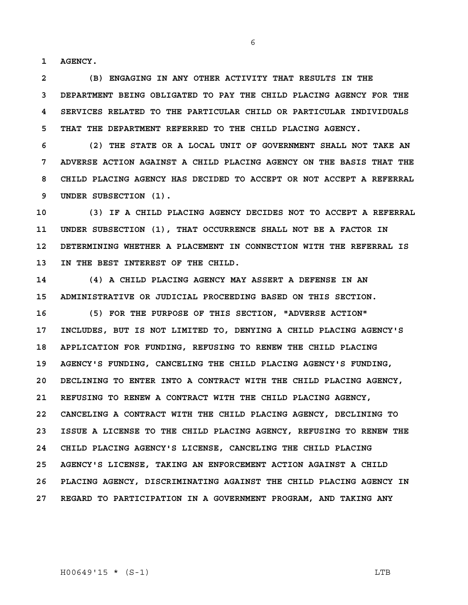**1 AGENCY.**

**2 (B) ENGAGING IN ANY OTHER ACTIVITY THAT RESULTS IN THE 3 DEPARTMENT BEING OBLIGATED TO PAY THE CHILD PLACING AGENCY FOR THE 4 SERVICES RELATED TO THE PARTICULAR CHILD OR PARTICULAR INDIVIDUALS 5 THAT THE DEPARTMENT REFERRED TO THE CHILD PLACING AGENCY.**

**6 (2) THE STATE OR A LOCAL UNIT OF GOVERNMENT SHALL NOT TAKE AN 7 ADVERSE ACTION AGAINST A CHILD PLACING AGENCY ON THE BASIS THAT THE 8 CHILD PLACING AGENCY HAS DECIDED TO ACCEPT OR NOT ACCEPT A REFERRAL 9 UNDER SUBSECTION (1).**

**10 (3) IF A CHILD PLACING AGENCY DECIDES NOT TO ACCEPT A REFERRAL 11 UNDER SUBSECTION (1), THAT OCCURRENCE SHALL NOT BE A FACTOR IN 12 DETERMINING WHETHER A PLACEMENT IN CONNECTION WITH THE REFERRAL IS 13 IN THE BEST INTEREST OF THE CHILD.**

**14 (4) A CHILD PLACING AGENCY MAY ASSERT A DEFENSE IN AN 15 ADMINISTRATIVE OR JUDICIAL PROCEEDING BASED ON THIS SECTION.**

**16 (5) FOR THE PURPOSE OF THIS SECTION, "ADVERSE ACTION" 17 INCLUDES, BUT IS NOT LIMITED TO, DENYING A CHILD PLACING AGENCY'S 18 APPLICATION FOR FUNDING, REFUSING TO RENEW THE CHILD PLACING 19 AGENCY'S FUNDING, CANCELING THE CHILD PLACING AGENCY'S FUNDING, 20 DECLINING TO ENTER INTO A CONTRACT WITH THE CHILD PLACING AGENCY, 21 REFUSING TO RENEW A CONTRACT WITH THE CHILD PLACING AGENCY, 22 CANCELING A CONTRACT WITH THE CHILD PLACING AGENCY, DECLINING TO 23 ISSUE A LICENSE TO THE CHILD PLACING AGENCY, REFUSING TO RENEW THE 24 CHILD PLACING AGENCY'S LICENSE, CANCELING THE CHILD PLACING 25 AGENCY'S LICENSE, TAKING AN ENFORCEMENT ACTION AGAINST A CHILD 26 PLACING AGENCY, DISCRIMINATING AGAINST THE CHILD PLACING AGENCY IN 27 REGARD TO PARTICIPATION IN A GOVERNMENT PROGRAM, AND TAKING ANY**